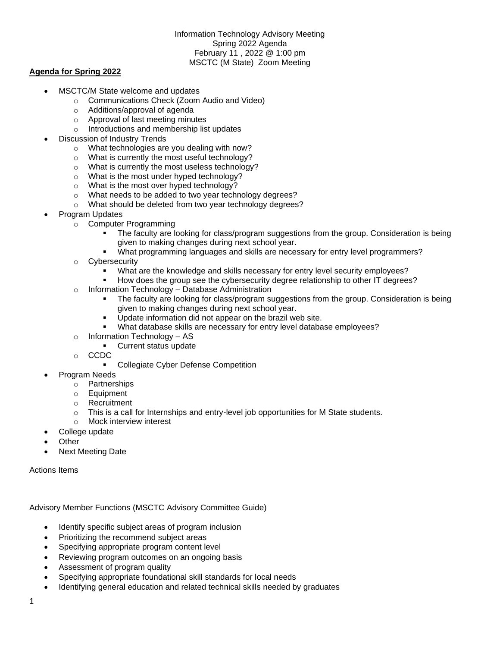Information Technology Advisory Meeting Spring 2022 Agenda February 11 , 2022 @ 1:00 pm MSCTC (M State) Zoom Meeting

## **Agenda for Spring 2022**

- MSCTC/M State welcome and updates
	- o Communications Check (Zoom Audio and Video)
	- o Additions/approval of agenda
	- o Approval of last meeting minutes
	- o Introductions and membership list updates
- Discussion of Industry Trends
	- o What technologies are you dealing with now?
	- o What is currently the most useful technology?
	- o What is currently the most useless technology?
	- o What is the most under hyped technology?
	- o What is the most over hyped technology?
	- o What needs to be added to two year technology degrees?
	- o What should be deleted from two year technology degrees?
- Program Updates
	- o Computer Programming
		- The faculty are looking for class/program suggestions from the group. Consideration is being given to making changes during next school year.
		- What programming languages and skills are necessary for entry level programmers?
	- o Cybersecurity
		- What are the knowledge and skills necessary for entry level security employees?
		- How does the group see the cybersecurity degree relationship to other IT degrees?
	- o Information Technology Database Administration
		- The faculty are looking for class/program suggestions from the group. Consideration is being given to making changes during next school year.
		- Update information did not appear on the brazil web site.
		- What database skills are necessary for entry level database employees?
	- o Information Technology AS
		- Current status update
	- o CCDC
		- **Collegiate Cyber Defense Competition**
	- Program Needs
		- o Partnerships
		- o Equipment
		- o Recruitment
		- $\circ$  This is a call for Internships and entry-level job opportunities for M State students.
		- o Mock interview interest
- College update
- **Other**
- Next Meeting Date

Actions Items

Advisory Member Functions (MSCTC Advisory Committee Guide)

- Identify specific subject areas of program inclusion
- Prioritizing the recommend subject areas
- Specifying appropriate program content level
- Reviewing program outcomes on an ongoing basis
- Assessment of program quality
- Specifying appropriate foundational skill standards for local needs
- Identifying general education and related technical skills needed by graduates